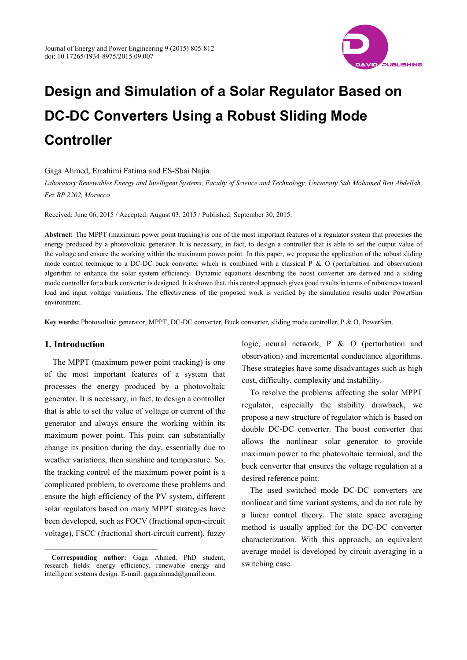

Gaga Ahmed, Errahimi Fatima and ES-Sbai Najia

*Laboratory Renewables Energy and Intelligent Systems, Faculty of Science and Technology, University Sidi Mohamed Ben Abdellah, Fez BP 2202, Morocco* 

Received: June 06, 2015 / Accepted: August 03, 2015 / Published: September 30, 2015.

**Abstract:** The MPPT (maximum power point tracking) is one of the most important features of a regulator system that processes the energy produced by a photovoltaic generator. It is necessary, in fact, to design a controller that is able to set the output value of the voltage and ensure the working within the maximum power point. In this paper, we propose the application of the robust sliding mode control technique to a DC-DC buck converter which is combined with a classical P  $\&$  O (perturbation and observation) algorithm to enhance the solar system efficiency. Dynamic equations describing the boost converter are derived and a sliding mode controller for a buck converter is designed. It is shown that, this control approach gives good results in terms of robustness toward load and input voltage variations. The effectiveness of the proposed work is verified by the simulation results under PowerSim environment.

**Key words:** Photovoltaic generator, MPPT, DC-DC converter, Buck converter, sliding mode controller, P & O, PowerSim.

### **1. Introduction**

 $\overline{a}$ 

The MPPT (maximum power point tracking) is one of the most important features of a system that processes the energy produced by a photovoltaic generator. It is necessary, in fact, to design a controller that is able to set the value of voltage or current of the generator and always ensure the working within its maximum power point. This point can substantially change its position during the day, essentially due to weather variations, then sunshine and temperature. So, the tracking control of the maximum power point is a complicated problem, to overcome these problems and ensure the high efficiency of the PV system, different solar regulators based on many MPPT strategies have been developed, such as FOCV (fractional open-circuit voltage), FSCC (fractional short-circuit current), fuzzy

logic, neural network, P & O (perturbation and observation) and incremental conductance algorithms. These strategies have some disadvantages such as high cost, difficulty, complexity and instability.

To resolve the problems affecting the solar MPPT regulator, especially the stability drawback, we propose a new structure of regulator which is based on double DC-DC converter. The boost converter that allows the nonlinear solar generator to provide maximum power to the photovoltaic terminal, and the buck converter that ensures the voltage regulation at a desired reference point.

The used switched mode DC-DC converters are nonlinear and time variant systems, and do not rule by a linear control theory. The state space averaging method is usually applied for the DC-DC converter characterization. With this approach, an equivalent average model is developed by circuit averaging in a switching case.

**Corresponding author:** Gaga Ahmed, PhD student, research fields: energy efficiency, renewable energy and intelligent systems design. E-mail: gaga.ahmad@gmail.com.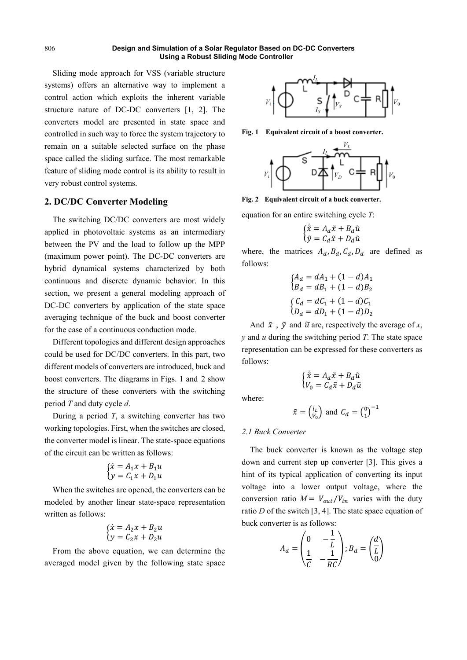Sliding mode approach for VSS (variable structure systems) offers an alternative way to implement a control action which exploits the inherent variable structure nature of DC-DC converters [1, 2]. The converters model are presented in state space and controlled in such way to force the system trajectory to remain on a suitable selected surface on the phase space called the sliding surface. The most remarkable feature of sliding mode control is its ability to result in very robust control systems.

# **2. DC/DC Converter Modeling**

The switching DC/DC converters are most widely applied in photovoltaic systems as an intermediary between the PV and the load to follow up the MPP (maximum power point). The DC-DC converters are hybrid dynamical systems characterized by both continuous and discrete dynamic behavior. In this section, we present a general modeling approach of DC-DC converters by application of the state space averaging technique of the buck and boost converter for the case of a continuous conduction mode.

Different topologies and different design approaches could be used for DC/DC converters. In this part, two different models of converters are introduced, buck and boost converters. The diagrams in Figs. 1 and 2 show the structure of these converters with the switching period *T* and duty cycle *d*.

During a period *T*, a switching converter has two working topologies. First, when the switches are closed, the converter model is linear. The state-space equations of the circuit can be written as follows:

$$
\begin{cases}\n\dot{x} = A_1 x + B_1 u \\
y = C_1 x + D_1 u\n\end{cases}
$$

When the switches are opened, the converters can be modeled by another linear state-space representation written as follows:

$$
\begin{cases}\n\dot{x} = A_2 x + B_2 u \\
y = C_2 x + D_2 u\n\end{cases}
$$

From the above equation, we can determine the averaged model given by the following state space



**Fig. 1 Equivalent circuit of a boost converter.** 



**Fig. 2 Equivalent circuit of a buck converter.** 

equation for an entire switching cycle *T*:

$$
\begin{cases} \dot{\tilde{x}} = A_d \tilde{x} + B_d \tilde{u} \\ \tilde{y} = C_d \tilde{x} + D_d \tilde{u} \end{cases}
$$

where, the matrices  $A_d$ ,  $B_d$ ,  $C_d$ ,  $D_d$  are defined as follows:

$$
\begin{cases}\nA_d = dA_1 + (1 - d)A_1 \\
B_d = dB_1 + (1 - d)B_2\n\end{cases}
$$
\n
$$
\begin{cases}\nC_d = dC_1 + (1 - d)C_1 \\
D_d = dD_1 + (1 - d)D_2\n\end{cases}
$$

And  $\tilde{x}$ ,  $\tilde{y}$  and  $\tilde{u}$  are, respectively the average of *x*, *y* and *u* during the switching period *T*. The state space representation can be expressed for these converters as follows:

$$
\begin{cases} \dot{\tilde{x}} = A_d \tilde{x} + B_d \tilde{u} \\ V_0 = C_d \tilde{x} + D_d \tilde{u} \end{cases}
$$

where:

$$
\tilde{x} = \begin{pmatrix} i_L \\ v_0 \end{pmatrix} \text{ and } C_d = \begin{pmatrix} 0 \\ 1 \end{pmatrix}^{-1}
$$

## *2.1 Buck Converter*

The buck converter is known as the voltage step down and current step up converter [3]. This gives a hint of its typical application of converting its input voltage into a lower output voltage, where the conversion ratio  $M = V_{out}/V_{in}$  varies with the duty ratio *D* of the switch [3, 4]. The state space equation of buck converter is as follows:

$$
A_d = \begin{pmatrix} 0 & -\frac{1}{L} \\ \frac{1}{C} & -\frac{1}{RC} \end{pmatrix}; B_d = \begin{pmatrix} \frac{d}{L} \\ \frac{1}{C} \end{pmatrix}
$$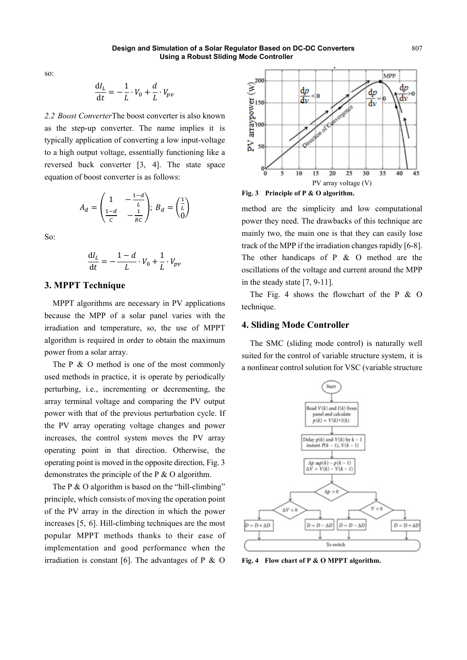so:

$$
\frac{\mathrm{d}I_L}{\mathrm{d}t} = -\frac{1}{L} \cdot V_0 + \frac{d}{L} \cdot V_{pv}
$$

*2.2 Boost Converter*The boost converter is also known as the step-up converter. The name implies it is typically application of converting a low input-voltage to a high output voltage, essentially functioning like a reversed buck converter [3, 4]. The state space equation of boost converter is as follows:

$$
A_d = \begin{pmatrix} 1 & -\frac{1-d}{L} \\ \frac{1-d}{C} & -\frac{1}{RC} \end{pmatrix}; \ B_d = \begin{pmatrix} \frac{1}{L} \\ 0 \end{pmatrix}
$$

So:

$$
\frac{\mathrm{d}I_L}{\mathrm{d}t} = -\frac{1-d}{L} \cdot V_0 + \frac{1}{L} \cdot V_{pv}
$$

## **3. MPPT Technique**

MPPT algorithms are necessary in PV applications because the MPP of a solar panel varies with the irradiation and temperature, so, the use of MPPT algorithm is required in order to obtain the maximum power from a solar array.

The P & O method is one of the most commonly used methods in practice, it is operate by periodically perturbing, i.e., incrementing or decrementing, the array terminal voltage and comparing the PV output power with that of the previous perturbation cycle. If the PV array operating voltage changes and power increases, the control system moves the PV array operating point in that direction. Otherwise, the operating point is moved in the opposite direction, Fig. 3 demonstrates the principle of the P & O algorithm.

The P & O algorithm is based on the "hill-climbing" principle, which consists of moving the operation point of the PV array in the direction in which the power increases [5, 6]. Hill-climbing techniques are the most popular MPPT methods thanks to their ease of implementation and good performance when the irradiation is constant [6]. The advantages of  $P \& O$ 



**Fig. 3 Principle of P & O algorithm.** 

method are the simplicity and low computational power they need. The drawbacks of this technique are mainly two, the main one is that they can easily lose track of the MPP if the irradiation changes rapidly [6-8]. The other handicaps of  $P \& O$  method are the oscillations of the voltage and current around the MPP in the steady state [7, 9-11].

The Fig. 4 shows the flowchart of the P  $\&$  O technique.

## **4. Sliding Mode Controller**

The SMC (sliding mode control) is naturally well suited for the control of variable structure system, it is a nonlinear control solution for VSC (variable structure

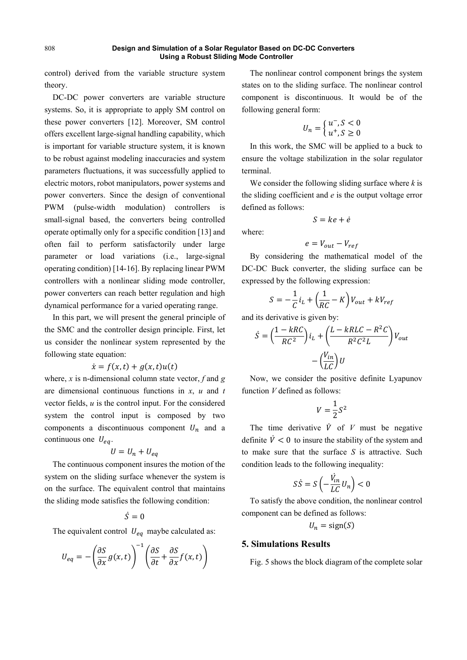control) derived from the variable structure system theory.

DC-DC power converters are variable structure systems. So, it is appropriate to apply SM control on these power converters [12]. Moreover, SM control offers excellent large-signal handling capability, which is important for variable structure system, it is known to be robust against modeling inaccuracies and system parameters fluctuations, it was successfully applied to electric motors, robot manipulators, power systems and power converters. Since the design of conventional PWM (pulse-width modulation) controllers is small-signal based, the converters being controlled operate optimally only for a specific condition [13] and often fail to perform satisfactorily under large parameter or load variations (i.e., large-signal operating condition) [14-16]. By replacing linear PWM controllers with a nonlinear sliding mode controller, power converters can reach better regulation and high dynamical performance for a varied operating range.

In this part, we will present the general principle of the SMC and the controller design principle. First, let us consider the nonlinear system represented by the following state equation:

## $\dot{x} = f(x, t) + g(x, t)u(t)$

where, *x* is n-dimensional column state vector, *f* and *g* are dimensional continuous functions in *x*, *u* and *t* vector fields, *u* is the control input. For the considered system the control input is composed by two components a discontinuous component  $U_n$  and a continuous one  $U_{eq}$ .

$$
U = U_n + U_{eq}
$$

The continuous component insures the motion of the system on the sliding surface whenever the system is on the surface. The equivalent control that maintains the sliding mode satisfies the following condition:

# $\dot{S}=0$

The equivalent control  $U_{eq}$  maybe calculated as:

$$
U_{eq} = -\left(\frac{\partial S}{\partial x}g(x,t)\right)^{-1} \left(\frac{\partial S}{\partial t} + \frac{\partial S}{\partial x}f(x,t)\right)
$$

The nonlinear control component brings the system states on to the sliding surface. The nonlinear control component is discontinuous. It would be of the following general form:

$$
U_n = \begin{cases} u^-, S < 0\\ u^+, S \ge 0 \end{cases}
$$

In this work, the SMC will be applied to a buck to ensure the voltage stabilization in the solar regulator terminal.

We consider the following sliding surface where *k* is the sliding coefficient and *e* is the output voltage error defined as follows:

$$
S = ke + \dot{e}
$$

$$
f_{\rm{max}}
$$

where:

$$
e = V_{out} - V_{ref}
$$

By considering the mathematical model of the DC-DC Buck converter, the sliding surface can be expressed by the following expression:

$$
S = -\frac{1}{C}i_L + \left(\frac{1}{RC} - K\right)V_{out} + kV_{ref}
$$

and its derivative is given by:

$$
\dot{S} = \left(\frac{1 - kRC}{RC^2}\right) i_L + \left(\frac{L - kRLC - R^2C}{R^2C^2L}\right) V_{out}
$$

$$
- \left(\frac{V_{in}}{LC}\right) U
$$

Now, we consider the positive definite Lyapunov function *V* defined as follows:

$$
V = \frac{1}{2}S^2
$$

The time derivative  $\dot{V}$  of  $V$  must be negative definite  $\dot{V} < 0$  to insure the stability of the system and to make sure that the surface *S* is attractive. Such condition leads to the following inequality:

$$
S\dot{S} = S\left(-\frac{\dot{V}_{in}}{LC}U_n\right) < 0
$$

To satisfy the above condition, the nonlinear control component can be defined as follows:

$$
U_n = \text{sign}(S)
$$

## **5. Simulations Results**

Fig. 5 shows the block diagram of the complete solar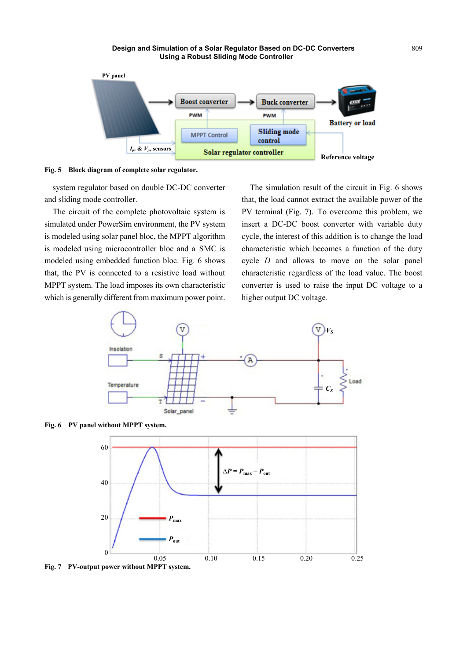

**Fig. 5 Block diagram of complete solar regulator.** 

system regulator based on double DC-DC converter and sliding mode controller.

The circuit of the complete photovoltaic system is simulated under PowerSim environment, the PV system is modeled using solar panel bloc, the MPPT algorithm is modeled using microcontroller bloc and a SMC is modeled using embedded function bloc. Fig. 6 shows that, the PV is connected to a resistive load without MPPT system. The load imposes its own characteristic which is generally different from maximum power point.

The simulation result of the circuit in Fig. 6 shows that, the load cannot extract the available power of the PV terminal (Fig. 7). To overcome this problem, we insert a DC-DC boost converter with variable duty cycle, the interest of this addition is to change the load characteristic which becomes a function of the duty cycle *D* and allows to move on the solar panel characteristic regardless of the load value. The boost converter is used to raise the input DC voltage to a higher output DC voltage.







**Fig. 7 PV-output power without MPPT system.**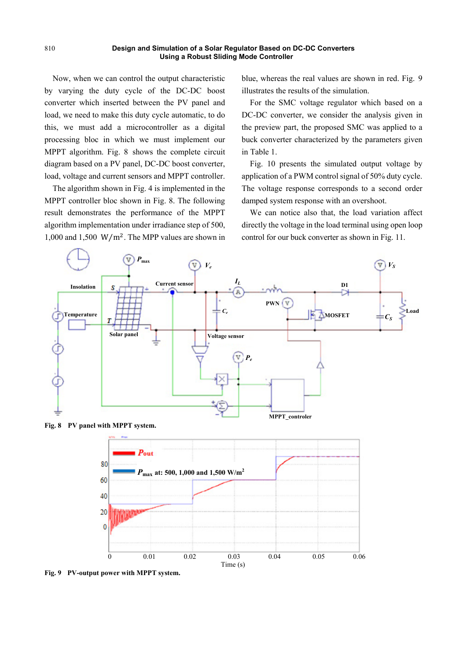Now, when we can control the output characteristic by varying the duty cycle of the DC-DC boost converter which inserted between the PV panel and load, we need to make this duty cycle automatic, to do this, we must add a microcontroller as a digital processing bloc in which we must implement our MPPT algorithm. Fig. 8 shows the complete circuit diagram based on a PV panel, DC-DC boost converter, load, voltage and current sensors and MPPT controller.

The algorithm shown in Fig. 4 is implemented in the MPPT controller bloc shown in Fig. 8. The following result demonstrates the performance of the MPPT algorithm implementation under irradiance step of 500, 1,000 and 1,500  $\frac{\text{W}}{\text{m}^2}$ . The MPP values are shown in blue, whereas the real values are shown in red. Fig. 9 illustrates the results of the simulation.

For the SMC voltage regulator which based on a DC-DC converter, we consider the analysis given in the preview part, the proposed SMC was applied to a buck converter characterized by the parameters given in Table 1.

Fig. 10 presents the simulated output voltage by application of a PWM control signal of 50% duty cycle. The voltage response corresponds to a second order damped system response with an overshoot.

We can notice also that, the load variation affect directly the voltage in the load terminal using open loop control for our buck converter as shown in Fig. 11.





**Fig. 9 PV-output power with MPPT system.**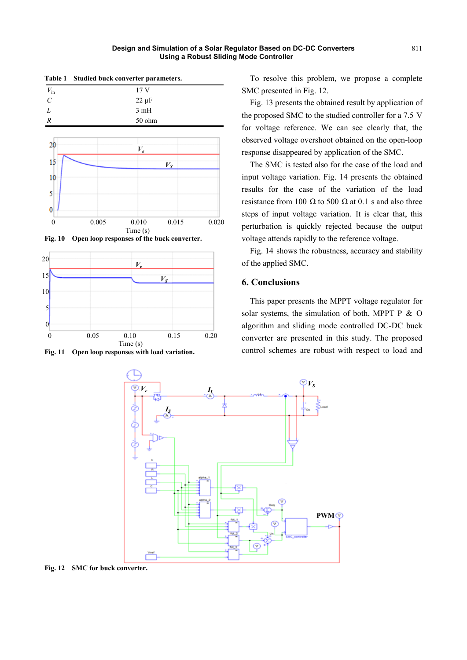| Table 1 Studied buck converter parameters. |                 |                  |         |       |
|--------------------------------------------|-----------------|------------------|---------|-------|
| $V_{\rm in}$                               | 17 <sub>V</sub> |                  |         |       |
| $\mathcal{C}$                              | $22 \mu F$      |                  |         |       |
| $\overline{L}$                             | 3mH             |                  |         |       |
| $\boldsymbol{R}$                           |                 | 50 ohm           |         |       |
|                                            |                 |                  |         |       |
| 20                                         |                 | $V_e\,$          |         |       |
| 15                                         |                 |                  | $V_{S}$ |       |
| 10                                         |                 |                  |         |       |
| 5                                          |                 |                  |         |       |
| 0                                          |                 |                  |         |       |
| $\theta$                                   | 0.005           | 0.010<br>Time(s) | 0.015   | 0.020 |

**Fig. 10 Open loop responses of the buck converter.** 



**Fig. 11 Open loop responses with load variation.** 

To resolve this problem, we propose a complete SMC presented in Fig. 12.

Fig. 13 presents the obtained result by application of the proposed SMC to the studied controller for a 7.5 V for voltage reference. We can see clearly that, the observed voltage overshoot obtained on the open-loop response disappeared by application of the SMC.

The SMC is tested also for the case of the load and input voltage variation. Fig. 14 presents the obtained results for the case of the variation of the load resistance from 100 Ω to 500 Ω at 0.1 s and also three steps of input voltage variation. It is clear that, this perturbation is quickly rejected because the output voltage attends rapidly to the reference voltage.

Fig. 14 shows the robustness, accuracy and stability of the applied SMC.

## **6. Conclusions**

This paper presents the MPPT voltage regulator for solar systems, the simulation of both, MPPT P  $\&$  O algorithm and sliding mode controlled DC-DC buck converter are presented in this study. The proposed control schemes are robust with respect to load and



**Fig. 12 SMC for buck converter.**